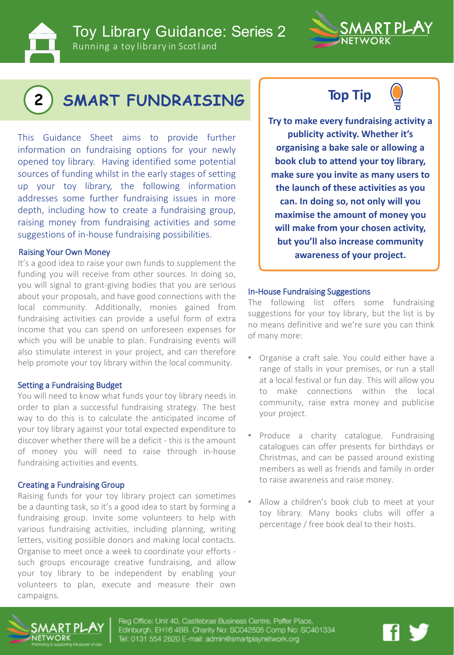

Toy Library Guidance: Series 2 Running a toy library in Scotland



# **2 SMART FUNDRAISING**

This Guidance Sheet aims to provide further information on fundraising options for your newly opened toy library. Having identified some potential sources of funding whilst in the early stages of setting up your toy library, the following information addresses some further fundraising issues in more depth, including how to create a fundraising group, raising money from fundraising activities and some suggestions of in-house fundraising possibilities.

It's a good idea to raise your own funds to supplement the funding you will receive from other sources. In doing so, you will signal to grant-giving bodies that you are serious about your proposals, and have good connections with the local community. Additionally, monies gained from fundraising activities can provide a useful form of extra income that you can spend on unforeseen expenses for which you will be unable to plan. Fundraising events will also stimulate interest in your project, and can therefore help promote your toy library within the local community.

#### Setting a Fundraising Budget

You will need to know what funds your toy library needs in order to plan a successful fundraising strategy. The best way to do this is to calculate the anticipated income of your toy library against your total expected expenditure to discover whether there will be a deficit - this is the amount of money you will need to raise through in-house fundraising activities and events.

#### Creating a Fundraising Group

Raising funds for your toy library project can sometimes be a daunting task, so it's a good idea to start by forming a fundraising group. Invite some volunteers to help with various fundraising activities, including planning, writing letters, visiting possible donors and making local contacts. Organise to meet once a week to coordinate your efforts such groups encourage creative fundraising, and allow your toy library to be independent by enabling your volunteers to plan, execute and measure their own campaigns.





**Try to make every fundraising activity a publicity activity. Whether it's organising a bake sale or allowing a book club to attend your toy library, make sure you invite as many users to the launch of these activities as you can. In doing so, not only will you maximise the amount of money you will make from your chosen activity, but you'll also increase community all Raising Your Own Money control of the Control of Control of the Control of Australian School School and Top Australian School and Top Australian School and Top Australian School and Top Australian School and Top Austr** 

#### In-House Fundraising Suggestions

The following list offers some fundraising suggestions for your toy library, but the list is by no means definitive and we're sure you can think of many more:

- Organise a craft sale. You could either have a range of stalls in your premises, or run a stall at a local festival or fun day. This will allow you to make connections within the local community, raise extra money and publicise your project.
- Produce a charity catalogue. Fundraising catalogues can offer presents for birthdays or Christmas, and can be passed around existing members as well as friends and family in order to raise awareness and raise money.
- Allow a children's book club to meet at your toy library. Many books clubs will offer a percentage / free book deal to their hosts.



Reg Office: Unit 40, Castlebrae Business Centre, Peffer Place, Edinburgh, EH16 4BB. Charity No: SC042505 Comp No: SC401334 Tel: 0131 554 2620 E-mail: admin@smartplaynetwork.org